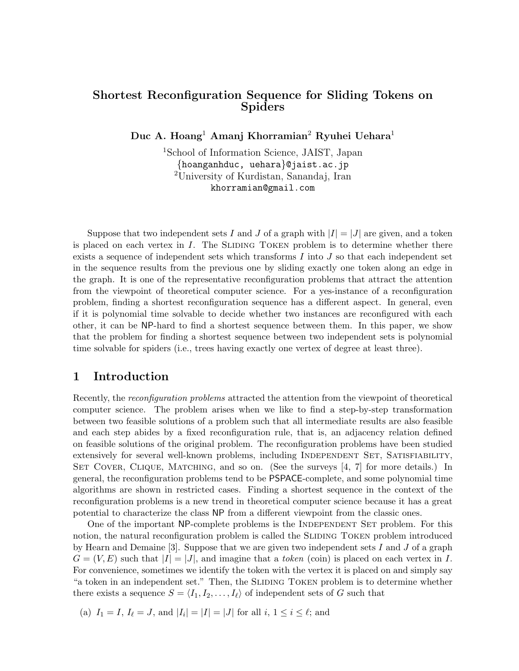# Shortest Reconfiguration Sequence for Sliding Tokens on Spiders

Duc A. Hoang<sup>1</sup> Amanj Khorramian<sup>2</sup> Ryuhei Uehara<sup>1</sup>

<sup>1</sup>School of Information Science, JAIST, Japan {hoanganhduc, uehara}@jaist.ac.jp <sup>2</sup>University of Kurdistan, Sanandaj, Iran khorramian@gmail.com

Suppose that two independent sets I and J of a graph with  $|I| = |J|$  are given, and a token is placed on each vertex in  $I$ . The SLIDING TOKEN problem is to determine whether there exists a sequence of independent sets which transforms  $I$  into  $J$  so that each independent set in the sequence results from the previous one by sliding exactly one token along an edge in the graph. It is one of the representative reconfiguration problems that attract the attention from the viewpoint of theoretical computer science. For a yes-instance of a reconfiguration problem, finding a shortest reconfiguration sequence has a different aspect. In general, even if it is polynomial time solvable to decide whether two instances are reconfigured with each other, it can be NP-hard to find a shortest sequence between them. In this paper, we show that the problem for finding a shortest sequence between two independent sets is polynomial time solvable for spiders (i.e., trees having exactly one vertex of degree at least three).

## 1 Introduction

Recently, the reconfiguration problems attracted the attention from the viewpoint of theoretical computer science. The problem arises when we like to find a step-by-step transformation between two feasible solutions of a problem such that all intermediate results are also feasible and each step abides by a fixed reconfiguration rule, that is, an adjacency relation defined on feasible solutions of the original problem. The reconfiguration problems have been studied extensively for several well-known problems, including INDEPENDENT SET, SATISFIABILITY, SET COVER, CLIQUE, MATCHING, and so on. (See the surveys [4, 7] for more details.) In general, the reconfiguration problems tend to be PSPACE-complete, and some polynomial time algorithms are shown in restricted cases. Finding a shortest sequence in the context of the reconfiguration problems is a new trend in theoretical computer science because it has a great potential to characterize the class NP from a different viewpoint from the classic ones.

One of the important NP-complete problems is the INDEPENDENT SET problem. For this notion, the natural reconfiguration problem is called the SLIDING TOKEN problem introduced by Hearn and Demaine [3]. Suppose that we are given two independent sets  $I$  and  $J$  of a graph  $G = (V, E)$  such that  $|I| = |J|$ , and imagine that a token (coin) is placed on each vertex in I. For convenience, sometimes we identify the token with the vertex it is placed on and simply say "a token in an independent set." Then, the SLIDING TOKEN problem is to determine whether there exists a sequence  $S = \langle I_1, I_2, \ldots, I_\ell \rangle$  of independent sets of G such that

(a)  $I_1 = I, I_\ell = J$ , and  $|I_i| = |I| = |J|$  for all  $i, 1 \le i \le \ell$ ; and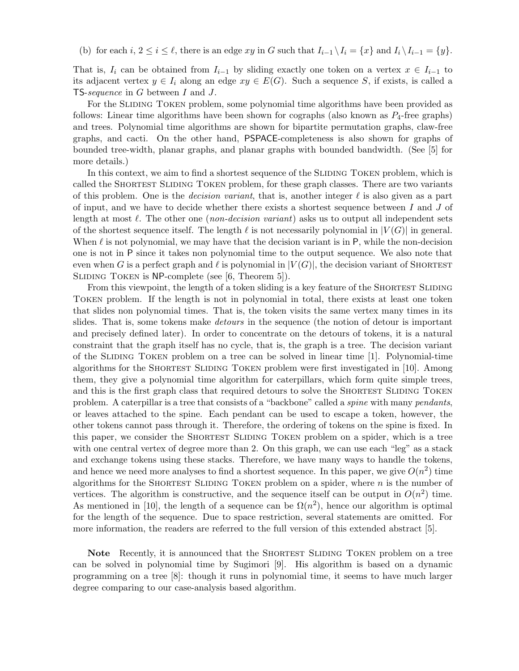(b) for each  $i, 2 \le i \le \ell$ , there is an edge  $xy$  in G such that  $I_{i-1} \setminus I_i = \{x\}$  and  $I_i \setminus I_{i-1} = \{y\}.$ 

That is,  $I_i$  can be obtained from  $I_{i-1}$  by sliding exactly one token on a vertex  $x \in I_{i-1}$  to its adjacent vertex  $y \in I_i$  along an edge  $xy \in E(G)$ . Such a sequence S, if exists, is called a TS-sequence in G between I and J.

For the SLIDING TOKEN problem, some polynomial time algorithms have been provided as follows: Linear time algorithms have been shown for cographs (also known as  $P_4$ -free graphs) and trees. Polynomial time algorithms are shown for bipartite permutation graphs, claw-free graphs, and cacti. On the other hand, PSPACE-completeness is also shown for graphs of bounded tree-width, planar graphs, and planar graphs with bounded bandwidth. (See [5] for more details.)

In this context, we aim to find a shortest sequence of the SLIDING TOKEN problem, which is called the Shortest Sliding Token problem, for these graph classes. There are two variants of this problem. One is the *decision variant*, that is, another integer  $\ell$  is also given as a part of input, and we have to decide whether there exists a shortest sequence between  $I$  and  $J$  of length at most  $\ell$ . The other one (non-decision variant) asks us to output all independent sets of the shortest sequence itself. The length  $\ell$  is not necessarily polynomial in  $|V(G)|$  in general. When  $\ell$  is not polynomial, we may have that the decision variant is in P, while the non-decision one is not in P since it takes non polynomial time to the output sequence. We also note that even when G is a perfect graph and  $\ell$  is polynomial in  $|V(G)|$ , the decision variant of SHORTEST SLIDING TOKEN is NP-complete (see [6, Theorem 5]).

From this viewpoint, the length of a token sliding is a key feature of the SHORTEST SLIDING Token problem. If the length is not in polynomial in total, there exists at least one token that slides non polynomial times. That is, the token visits the same vertex many times in its slides. That is, some tokens make *detours* in the sequence (the notion of detour is important and precisely defined later). In order to concentrate on the detours of tokens, it is a natural constraint that the graph itself has no cycle, that is, the graph is a tree. The decision variant of the Sliding Token problem on a tree can be solved in linear time [1]. Polynomial-time algorithms for the Shortest Sliding Token problem were first investigated in [10]. Among them, they give a polynomial time algorithm for caterpillars, which form quite simple trees, and this is the first graph class that required detours to solve the SHORTEST SLIDING TOKEN problem. A caterpillar is a tree that consists of a "backbone" called a spine with many pendants, or leaves attached to the spine. Each pendant can be used to escape a token, however, the other tokens cannot pass through it. Therefore, the ordering of tokens on the spine is fixed. In this paper, we consider the SHORTEST SLIDING TOKEN problem on a spider, which is a tree with one central vertex of degree more than 2. On this graph, we can use each "leg" as a stack and exchange tokens using these stacks. Therefore, we have many ways to handle the tokens, and hence we need more analyses to find a shortest sequence. In this paper, we give  $O(n^2)$  time algorithms for the SHORTEST SLIDING TOKEN problem on a spider, where  $n$  is the number of vertices. The algorithm is constructive, and the sequence itself can be output in  $O(n^2)$  time. As mentioned in [10], the length of a sequence can be  $\Omega(n^2)$ , hence our algorithm is optimal for the length of the sequence. Due to space restriction, several statements are omitted. For more information, the readers are referred to the full version of this extended abstract [5].

Note Recently, it is announced that the SHORTEST SLIDING TOKEN problem on a tree can be solved in polynomial time by Sugimori [9]. His algorithm is based on a dynamic programming on a tree [8]: though it runs in polynomial time, it seems to have much larger degree comparing to our case-analysis based algorithm.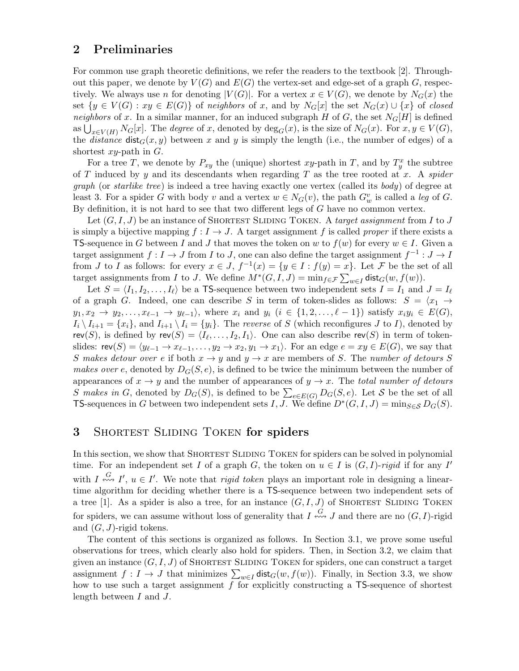### 2 Preliminaries

For common use graph theoretic definitions, we refer the readers to the textbook [2]. Throughout this paper, we denote by  $V(G)$  and  $E(G)$  the vertex-set and edge-set of a graph G, respectively. We always use n for denoting  $|V(G)|$ . For a vertex  $x \in V(G)$ , we denote by  $N_G(x)$  the set  $\{y \in V(G) : xy \in E(G)\}\$  of neighbors of x, and by  $N_G[x]$  the set  $N_G(x) \cup \{x\}$  of closed neighbors of x. In a similar manner, for an induced subgraph H of G, the set  $N_G[H]$  is defined as  $\bigcup_{x\in V(H)} N_G[x]$ . The *degree* of x, denoted by  $\deg_G(x)$ , is the size of  $N_G(x)$ . For  $x, y \in V(G)$ , the *distance*  $dist_G(x, y)$  between x and y is simply the length (i.e., the number of edges) of a shortest  $xy$ -path in  $G$ .

For a tree T, we denote by  $P_{xy}$  the (unique) shortest xy-path in T, and by  $T_y^x$  the subtree of T induced by y and its descendants when regarding T as the tree rooted at x. A spider graph (or starlike tree) is indeed a tree having exactly one vertex (called its body) of degree at least 3. For a spider G with body v and a vertex  $w \in N_G(v)$ , the path  $G_w^v$  is called a leg of G. By definition, it is not hard to see that two different legs of  $G$  have no common vertex.

Let  $(G, I, J)$  be an instance of SHORTEST SLIDING TOKEN. A target assignment from I to J is simply a bijective mapping  $f : I \to J$ . A target assignment f is called proper if there exists a **TS-sequence in G between I and J that moves the token on w to**  $f(w)$  **for every**  $w \in I$ **. Given a** target assignment  $f: I \to J$  from I to J, one can also define the target assignment  $f^{-1}: J \to I$ from J to I as follows: for every  $x \in J$ ,  $f^{-1}(x) = \{y \in I : f(y) = x\}$ . Let F be the set of all target assignments from I to J. We define  $M^*(G, I, J) = \min_{f \in \mathcal{F}} \sum_{w \in I} \text{dist}_G(w, f(w)).$ 

Let  $S = \langle I_1, I_2, \ldots, I_\ell \rangle$  be a TS-sequence between two independent sets  $I = I_1$  and  $J = I_\ell$ of a graph G. Indeed, one can describe S in term of token-slides as follows:  $S = \langle x_1 \rangle$  $y_1, x_2 \rightarrow y_2, \ldots, x_{\ell-1} \rightarrow y_{\ell-1}$ , where  $x_i$  and  $y_i$   $(i \in \{1, 2, \ldots, \ell-1\})$  satisfy  $x_i y_i \in E(G)$ ,  $I_i \setminus I_{i+1} = \{x_i\}$ , and  $I_{i+1} \setminus I_i = \{y_i\}$ . The reverse of S (which reconfigures J to I), denoted by rev(S), is defined by  $rev(S) = \langle I_\ell, \ldots, I_2, I_1 \rangle$ . One can also describe rev(S) in term of tokenslides:  $rev(S) = \langle y_{\ell-1} \to x_{\ell-1}, \ldots, y_2 \to x_2, y_1 \to x_1 \rangle$ . For an edge  $e = xy \in E(G)$ , we say that S makes detour over e if both  $x \to y$  and  $y \to x$  are members of S. The number of detours S makes over e, denoted by  $D_G(S, e)$ , is defined to be twice the minimum between the number of appearances of  $x \to y$  and the number of appearances of  $y \to x$ . The total number of detours S makes in G, denoted by  $D_G(S)$ , is defined to be  $\sum_{e \in E(G)} D_G(S, e)$ . Let S be the set of all TS-sequences in G between two independent sets I, J. We define  $D^*(G, I, J) = \min_{S \in \mathcal{S}} D_G(S)$ .

## 3 Shortest Sliding Token for spiders

In this section, we show that SHORTEST SLIDING TOKEN for spiders can be solved in polynomial time. For an independent set I of a graph G, the token on  $u \in I$  is  $(G, I)$ -rigid if for any I' with  $I \stackrel{G}{\n\leftrightarrow} I'$ ,  $u \in I'$ . We note that *rigid token* plays an important role in designing a lineartime algorithm for deciding whether there is a TS-sequence between two independent sets of a tree [1]. As a spider is also a tree, for an instance  $(G, I, J)$  of SHORTEST SLIDING TOKEN for spiders, we can assume without loss of generality that  $I \stackrel{G}{\leftrightarrow\!\sim} J$  and there are no  $(G, I)$ -rigid and  $(G, J)$ -rigid tokens.

The content of this sections is organized as follows. In Section 3.1, we prove some useful observations for trees, which clearly also hold for spiders. Then, in Section 3.2, we claim that given an instance  $(G, I, J)$  of SHORTEST SLIDING TOKEN for spiders, one can construct a target assignment  $f: I \to J$  that minimizes  $\sum_{w \in I} \text{dist}_G(w, f(w))$ . Finally, in Section 3.3, we show how to use such a target assignment f for explicitly constructing a TS-sequence of shortest length between I and J.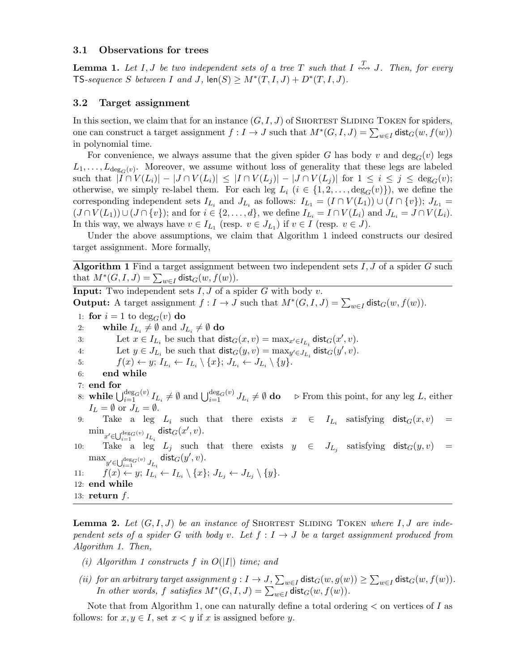#### 3.1 Observations for trees

**Lemma 1.** Let I, J be two independent sets of a tree T such that I  $\stackrel{T}{\leftrightsquigarrow} J$ . Then, for every TS-sequence S between I and J,  $\text{len}(S) \geq M^*(T, I, J) + D^*(T, I, J)$ .

#### 3.2 Target assignment

In this section, we claim that for an instance  $(G, I, J)$  of SHORTEST SLIDING TOKEN for spiders, one can construct a target assignment  $f: I \to J$  such that  $M^*(G, I, J) = \sum_{w \in I} \text{dist}_G(w, f(w))$ in polynomial time.

For convenience, we always assume that the given spider G has body v and  $\deg_G(v)$  legs  $L_1, \ldots, L_{\deg_G(v)}$ . Moreover, we assume without loss of generality that these legs are labeled such that  $|I \cap V(L_i)| - |J \cap V(L_i)| \leq |I \cap V(L_j)| - |J \cap V(L_j)|$  for  $1 \leq i \leq j \leq \deg_G(v)$ ; otherwise, we simply re-label them. For each leg  $L_i$   $(i \in \{1, 2, ..., \deg_G(v)\})$ , we define the corresponding independent sets  $I_{L_i}$  and  $J_{L_i}$  as follows:  $I_{L_1} = (I \cap V(L_1)) \cup (I \cap \{v\})$ ;  $J_{L_1} =$  $(J \cap V(L_1)) \cup (J \cap \{v\})$ ; and for  $i \in \{2, \ldots, d\}$ , we define  $I_{L_i} = I \cap V(L_i)$  and  $J_{L_i} = J \cap V(L_i)$ . In this way, we always have  $v \in I_{L_1}$  (resp.  $v \in J_{L_1}$ ) if  $v \in I$  (resp.  $v \in J$ ).

Under the above assumptions, we claim that Algorithm 1 indeed constructs our desired target assignment. More formally,

**Algorithm 1** Find a target assignment between two independent sets  $I, J$  of a spider  $G$  such that  $M^*(G, I, J) = \sum_{w \in I} \text{dist}_G(w, f(w)).$ 

**Input:** Two independent sets  $I, J$  of a spider  $G$  with body  $v$ . **Output:** A target assignment  $f: I \to J$  such that  $M^*(G, I, J) = \sum_{w \in I} \text{dist}_G(w, f(w))$ . 1: for  $i = 1$  to  $deg_G(v)$  do 2: while  $I_{L_i} \neq \emptyset$  and  $J_{L_i} \neq \emptyset$  do 3: Let  $x \in I_{L_i}$  be such that  $\text{dist}_G(x, v) = \max_{x' \in I_{L_i}} \text{dist}_G(x', v)$ . 4: Let  $y \in J_{L_i}$  be such that  $\text{dist}_G(y, v) = \max_{y' \in J_{L_i}} \text{dist}_G(y', v)$ . 5:  $f(x) \leftarrow y; I_{L_i} \leftarrow I_{L_i} \setminus \{x\}; J_{L_i} \leftarrow J_{L_i} \setminus \{y\}.$ 6: end while 7: end for 8: while  $\bigcup_{i=1}^{\deg_G(v)} I_{L_i} \neq \emptyset$  and  $\bigcup_{i=1}^{\deg_G(v)} J_{L_i} \neq \emptyset$  do  $\Rightarrow$  From this point, for any leg L, either  $I_L = \emptyset$  or  $J_L = \emptyset$ . 9: Take a leg  $L_i$  such that there exists  $x \in I_{L_i}$  satisfying  $\textsf{dist}_G(x,v) =$  $\min_{x' \in \bigcup_{i=1}^{\deg_{G}(v)} I_{L_i}}$  dist $_G(x', v)$ . 10: Take a leg  $L_j$  such that there exists  $y \in J_{L_j}$  satisfying  $dist_G(y, v)$  =  $\max_{y' \in \bigcup_{i=1}^{\deg_G(v)} J_{L_i}}$  dist $_G(y', v)$ . 11:  $f(x) \leftarrow y; I_{L_i} \leftarrow I_{L_i} \setminus \{x\}; J_{L_j} \leftarrow J_{L_j} \setminus \{y\}.$ 12: end while 13: return  $f$ .

**Lemma 2.** Let  $(G, I, J)$  be an instance of SHORTEST SLIDING TOKEN where I, J are independent sets of a spider G with body v. Let  $f: I \rightarrow J$  be a target assignment produced from Algorithm 1. Then,

- (i) Algorithm 1 constructs f in  $O(|I|)$  time; and
- (ii) for an arbitrary target assignment  $g: I \to J$ ,  $\sum_{w \in I} \text{dist}_G(w, g(w)) \ge \sum_{w \in I} \text{dist}_G(w, f(w))$ . In other words, f satisfies  $M^*(G, I, J) = \sum_{w \in I} \text{dist}_G(w, f(w)).$

Note that from Algorithm 1, one can naturally define a total ordering  $\lt$  on vertices of I as follows: for  $x, y \in I$ , set  $x < y$  if x is assigned before y.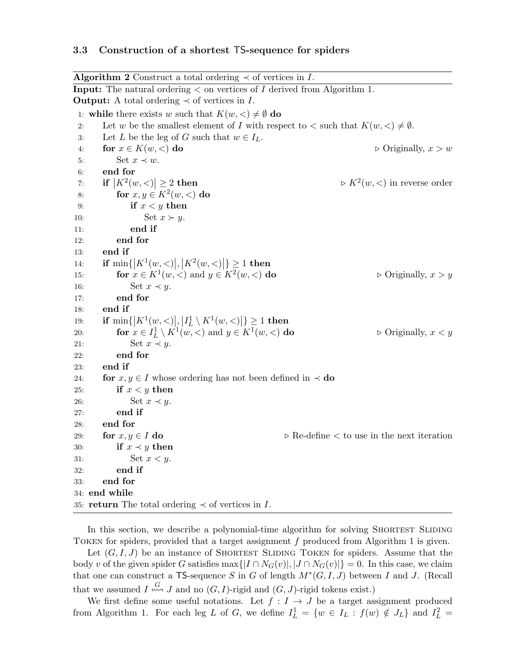#### 3.3 Construction of a shortest TS-sequence for spiders

Algorithm 2 Construct a total ordering  $\prec$  of vertices in I. Input: The natural ordering < on vertices of I derived from Algorithm 1. **Output:** A total ordering  $\prec$  of vertices in I. 1: while there exists w such that  $K(w, \langle) \neq \emptyset$  do 2: Let w be the smallest element of I with respect to  $\lt$  such that  $K(w, \lt) \neq \emptyset$ . 3: Let L be the leg of G such that  $w \in I_L$ . 4: for  $x \in K(w, \leq)$  do  $\triangleright$  Originally,  $x > w$ 5: Set  $x \prec w$ . 6: end for 7: if  $\left|K^2(w,<)\right|\geq 2$  then  $\triangleright K^2$  $\triangleright K^2(w, \leq)$  in reverse order 8: for  $x, y \in K^2(w, <)$  do 9: if  $x < y$  then 10: Set  $x \succ y$ . 11: end if 12: end for 13: end if 14: **if**  $\min\{|K^1(w, \leq)|, |K^2(w, \leq)|\}\geq 1$  then 15: **for**  $x \in K^1(w, <)$  and  $y \in K^2$  $\triangleright$  Originally,  $x > y$ 16: Set  $x \prec y$ . 17: end for 18: end if 19: **if**  $\min\{|K^1(w, \leq)|, |I_L^1 \setminus K^1(w, \leq)|\} \ge 1$  then 20: **for**  $x \in I^1_L \setminus K^1(w, <)$  and  $y \in K^1$  $\triangleright$  Originally,  $x < y$ 21: Set  $x \prec y$ . 22: end for 23: end if 24: for  $x, y \in I$  whose ordering has not been defined in  $\prec$  do 25: if  $x < y$  then 26: Set  $x \prec y$ . 27: end if 28: end for 29: for  $x, y \in I$  do  $\triangleright$  Re-define  $\lt$  to use in the next iteration 30: if  $x \prec y$  then 31: Set  $x < y$ . 32: end if 33: end for 34: end while 35: return The total ordering  $\prec$  of vertices in I.

In this section, we describe a polynomial-time algorithm for solving SHORTEST SLIDING Token for spiders, provided that a target assignment f produced from Algorithm 1 is given.

Let  $(G, I, J)$  be an instance of SHORTEST SLIDING TOKEN for spiders. Assume that the body v of the given spider G satisfies  $\max\{|I \cap N_G(v)|, |J \cap N_G(v)|\} = 0$ . In this case, we claim that one can construct a TS-sequence S in G of length  $M^*(G, I, J)$  between I and J. (Recall that we assumed  $I \stackrel{G}{\n\leftrightarrow\infty} J$  and no  $(G, I)$ -rigid and  $(G, J)$ -rigid tokens exist.)

We first define some useful notations. Let  $f: I \rightarrow J$  be a target assignment produced from Algorithm 1. For each leg L of G, we define  $I_L^1 = \{w \in I_L : f(w) \notin J_L\}$  and  $I_L^2 =$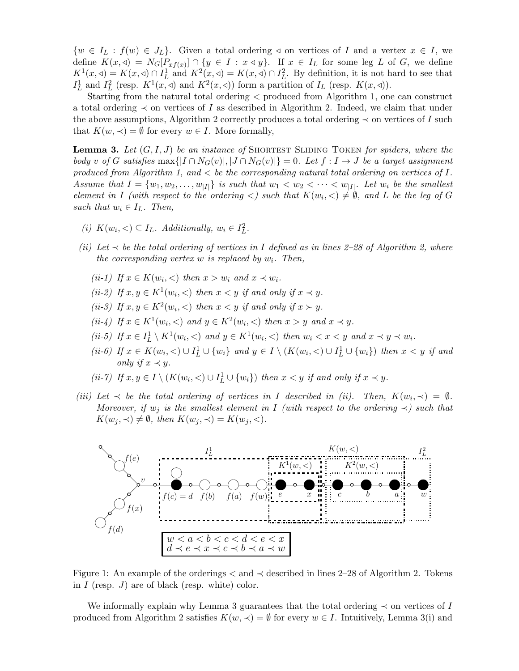$\{w \in I_L : f(w) \in J_L\}.$  Given a total ordering  $\triangleleft$  on vertices of I and a vertex  $x \in I$ , we define  $K(x, \triangleleft) = N_G[P_{xf(x)}] \cap \{y \in I : x \triangleleft y\}$ . If  $x \in I_L$  for some leg L of G, we define  $K^1(x, \triangleleft) = K(x, \triangleleft) \cap I_L^1$  and  $K^2(x, \triangleleft) = K(x, \triangleleft) \cap I_L^2$ . By definition, it is not hard to see that  $I<sub>L</sub><sup>1</sup>$  and  $I<sub>L</sub><sup>2</sup>$  (resp.  $K<sup>1</sup>(x, \triangleleft)$  and  $K<sup>2</sup>(x, \triangleleft)$ ) form a partition of  $I<sub>L</sub>$  (resp.  $K(x, \triangleleft)$ ).

Starting from the natural total ordering < produced from Algorithm 1, one can construct a total ordering  $\prec$  on vertices of I as described in Algorithm 2. Indeed, we claim that under the above assumptions, Algorithm 2 correctly produces a total ordering  $\prec$  on vertices of I such that  $K(w, \prec) = \emptyset$  for every  $w \in I$ . More formally,

**Lemma 3.** Let  $(G, I, J)$  be an instance of SHORTEST SLIDING TOKEN for spiders, where the body v of G satisfies  $\max\{|I \cap N_G(v)|, |J \cap N_G(v)|\} = 0$ . Let  $f : I \to J$  be a target assignment produced from Algorithm 1, and  $\lt$  be the corresponding natural total ordering on vertices of I. Assume that  $I = \{w_1, w_2, \ldots, w_{|I|}\}$  is such that  $w_1 < w_2 < \cdots < w_{|I|}$ . Let  $w_i$  be the smallest element in I (with respect to the ordering  $\langle$ ) such that  $K(w_i, \langle) \neq \emptyset$ , and L be the leg of G such that  $w_i \in I_L$ . Then,

- (i)  $K(w_i, <) \subseteq I_L$ . Additionally,  $w_i \in I_L^2$ .
- (ii) Let  $\prec$  be the total ordering of vertices in I defined as in lines 2–28 of Algorithm 2, where the corresponding vertex w is replaced by  $w_i$ . Then,
	- (ii-1) If  $x \in K(w_i, <)$  then  $x > w_i$  and  $x \prec w_i$ .
	- (ii-2) If  $x, y \in K^1(w_i, <)$  then  $x < y$  if and only if  $x \prec y$ .
	- (ii-3) If  $x, y \in K^2(w_i, <)$  then  $x < y$  if and only if  $x > y$ .
	- (ii-4) If  $x \in K^1(w_i, <)$  and  $y \in K^2(w_i, <)$  then  $x > y$  and  $x \prec y$ .
	- (ii-5) If  $x \in I^1_L \setminus K^1(w_i, <)$  and  $y \in K^1(w_i, <)$  then  $w_i < x < y$  and  $x \prec y \prec w_i$ .
	- (ii-6) If  $x \in K(w_i, <) \cup I^1_L \cup \{w_i\}$  and  $y \in I \setminus (K(w_i, <) \cup I^1_L \cup \{w_i\})$  then  $x < y$  if and only if  $x \prec y$ .

$$
(ii-7) \ If x, y \in I \setminus (K(w_i, <) \cup I_L^1 \cup \{w_i\}) \ then \ x < y \ if \ and \ only \ if \ x \prec y.
$$

(iii) Let  $\prec$  be the total ordering of vertices in I described in (ii). Then,  $K(w_i, \prec) = \emptyset$ . Moreover, if  $w_j$  is the smallest element in I (with respect to the ordering  $\prec$ ) such that  $K(w_i, \prec) \neq \emptyset$ , then  $K(w_i, \prec) = K(w_i, \prec)$ .



Figure 1: An example of the orderings < and ≺ described in lines 2–28 of Algorithm 2. Tokens in  $I$  (resp.  $J$ ) are of black (resp. white) color.

We informally explain why Lemma 3 guarantees that the total ordering  $\prec$  on vertices of I produced from Algorithm 2 satisfies  $K(w, \prec) = \emptyset$  for every  $w \in I$ . Intuitively, Lemma 3(i) and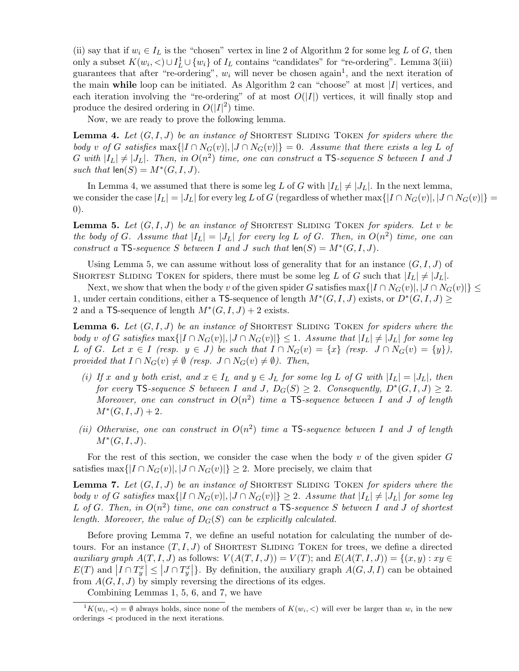(ii) say that if  $w_i \in I_L$  is the "chosen" vertex in line 2 of Algorithm 2 for some leg L of G, then only a subset  $K(w_i, \leq) \cup I^1_L \cup \{w_i\}$  of  $I_L$  contains "candidates" for "re-ordering". Lemma 3(iii) guarantees that after "re-ordering",  $w_i$  will never be chosen again<sup>1</sup>, and the next iteration of the main while loop can be initiated. As Algorithm 2 can "choose" at most  $|I|$  vertices, and each iteration involving the "re-ordering" of at most  $O(|I|)$  vertices, it will finally stop and produce the desired ordering in  $O(|I|^2)$  time.

Now, we are ready to prove the following lemma.

**Lemma 4.** Let  $(G, I, J)$  be an instance of SHORTEST SLIDING TOKEN for spiders where the body v of G satisfies  $\max\{|I \cap N_G(v)|, |J \cap N_G(v)|\} = 0$ . Assume that there exists a leg L of G with  $|I_L| \neq |J_L|$ . Then, in  $O(n^2)$  time, one can construct a TS-sequence S between I and J such that  $len(S) = M^*(G, I, J)$ .

In Lemma 4, we assumed that there is some leg L of G with  $|I_L| \neq |J_L|$ . In the next lemma, we consider the case  $|I_L| = |J_L|$  for every leg L of G (regardless of whether max $\{|I \cap N_G(v)|, |J \cap N_G(v)|\}$ 0).

**Lemma 5.** Let  $(G, I, J)$  be an instance of SHORTEST SLIDING TOKEN for spiders. Let v be the body of G. Assume that  $|I_L| = |J_L|$  for every leg L of G. Then, in  $O(n^2)$  time, one can construct a TS-sequence S between I and J such that  $len(S) = M^*(G, I, J)$ .

Using Lemma 5, we can assume without loss of generality that for an instance  $(G, I, J)$  of SHORTEST SLIDING TOKEN for spiders, there must be some leg L of G such that  $|I_L| \neq |J_L|$ .

Next, we show that when the body v of the given spider G satisfies  $\max\{|I \cap N_G(v)|, |J \cap N_G(v)|\} \leq$ 1, under certain conditions, either a TS-sequence of length  $M^*(G, I, J)$  exists, or  $D^*(G, I, J) \ge$ 2 and a TS-sequence of length  $M^*(G, I, J) + 2$  exists.

**Lemma 6.** Let  $(G, I, J)$  be an instance of SHORTEST SLIDING TOKEN for spiders where the body v of G satisfies  $\max\{|I \cap N_G(v)|, |J \cap N_G(v)|\} \leq 1$ . Assume that  $|I_L| \neq |J_L|$  for some leg L of G. Let  $x \in I$  (resp.  $y \in J$ ) be such that  $I \cap N_G(v) = \{x\}$  (resp.  $J \cap N_G(v) = \{y\}$ ), provided that  $I \cap N_G(v) \neq \emptyset$  (resp.  $J \cap N_G(v) \neq \emptyset$ ). Then,

- (i) If x and y both exist, and  $x \in I_L$  and  $y \in J_L$  for some leg L of G with  $|I_L| = |J_L|$ , then for every TS-sequence S between I and J,  $D_G(S) \geq 2$ . Consequently,  $D^*(G, I, J) \geq 2$ . Moreover, one can construct in  $O(n^2)$  time a TS-sequence between I and J of length  $M^*(G, I, J) + 2.$
- (ii) Otherwise, one can construct in  $O(n^2)$  time a TS-sequence between I and J of length  $M^*(G, I, J).$

For the rest of this section, we consider the case when the body  $v$  of the given spider  $G$ satisfies max $\{|I \cap N_G(v)|, |J \cap N_G(v)|\} \geq 2$ . More precisely, we claim that

**Lemma 7.** Let  $(G, I, J)$  be an instance of SHORTEST SLIDING TOKEN for spiders where the body v of G satisfies  $\max\{|I \cap N_G(v)|, |J \cap N_G(v)|\} \geq 2$ . Assume that  $|I_L| \neq |J_L|$  for some leg L of G. Then, in  $O(n^2)$  time, one can construct a  $TS$ -sequence S between I and J of shortest length. Moreover, the value of  $D_G(S)$  can be explicitly calculated.

Before proving Lemma 7, we define an useful notation for calculating the number of detours. For an instance  $(T, I, J)$  of SHORTEST SLIDING TOKEN for trees, we define a directed auxiliary graph  $A(T, I, J)$  as follows:  $V(A(T, I, J)) = V(T)$ ; and  $E(A(T, I, J)) = \{(x, y) : xy \in$  $E(T)$  and  $|I \cap T_y^x| \leq |J \cap T_y^x|$ . By definition, the auxiliary graph  $A(G, J, I)$  can be obtained from  $A(G, I, J)$  by simply reversing the directions of its edges.

Combining Lemmas 1, 5, 6, and 7, we have

 $\frac{1}{K(w_i, \prec)} = \emptyset$  always holds, since none of the members of  $K(w_i, \prec)$  will ever be larger than  $w_i$  in the new orderings ≺ produced in the next iterations.